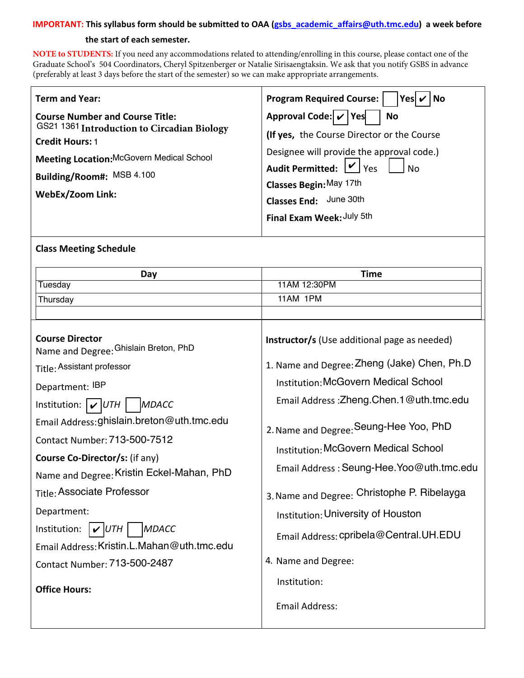#### **IMPORTANT: This syllabus form should be submitted to OAA (gsbs\_academic\_affairs@uth.tmc.edu) a week before**

#### **the start of each semester.**

**NOTE to STUDENTS:** If you need any accommodations related to attending/enrolling in this course, please contact one of the Graduate School's 504 Coordinators, [Cheryl Spitzenberger](mailto:Cheryl.A.Spitzenberger@uth.tmc.edu) or [Natalie Sirisaengtaksin](mailto:Natalie.Sirisaengtaksin@uth.tmc.edu). We ask that you notify GSBS in advance (preferably at least 3 days before the start of the semester) so we can make appropriate arrangements.

| <b>Term and Year:</b>                                                                                                                                                                                                       | <b>Program Required Course:</b><br>$ Yes $ $\checkmark$ $ No$                                                                                                                                                                                                                   |  |  |
|-----------------------------------------------------------------------------------------------------------------------------------------------------------------------------------------------------------------------------|---------------------------------------------------------------------------------------------------------------------------------------------------------------------------------------------------------------------------------------------------------------------------------|--|--|
| <b>Course Number and Course Title:</b><br>GS21 1361 Introduction to Circadian Biology<br><b>Credit Hours: 1</b><br><b>Meeting Location: McGovern Medical School</b><br>Building/Room#: MSB 4.100<br><b>WebEx/Zoom Link:</b> | Approval Code: $\mathbf{v}$ Yes<br><b>No</b><br>(If yes, the Course Director or the Course<br>Designee will provide the approval code.)<br>Audit Permitted: $\boxed{\nu}$ Yes<br>No<br>Classes Begin: May 17th<br>June 30th<br><b>Classes End:</b><br>Final Exam Week: July 5th |  |  |
|                                                                                                                                                                                                                             |                                                                                                                                                                                                                                                                                 |  |  |

### **Class Meeting Schedule**

| Day                                                                                                                                                                                                                                                                                                                                                                                                                                                                                                               | <b>Time</b>                                                                                                                                                                                                                                                                                                                                                                                                                                                                                                                         |  |
|-------------------------------------------------------------------------------------------------------------------------------------------------------------------------------------------------------------------------------------------------------------------------------------------------------------------------------------------------------------------------------------------------------------------------------------------------------------------------------------------------------------------|-------------------------------------------------------------------------------------------------------------------------------------------------------------------------------------------------------------------------------------------------------------------------------------------------------------------------------------------------------------------------------------------------------------------------------------------------------------------------------------------------------------------------------------|--|
| Tuesday                                                                                                                                                                                                                                                                                                                                                                                                                                                                                                           | 11AM 12:30PM                                                                                                                                                                                                                                                                                                                                                                                                                                                                                                                        |  |
| Thursday                                                                                                                                                                                                                                                                                                                                                                                                                                                                                                          | 11AM 1PM                                                                                                                                                                                                                                                                                                                                                                                                                                                                                                                            |  |
|                                                                                                                                                                                                                                                                                                                                                                                                                                                                                                                   |                                                                                                                                                                                                                                                                                                                                                                                                                                                                                                                                     |  |
| <b>Course Director</b><br>Name and Degree: Ghislain Breton, PhD<br>Title: Assistant professor<br>Department: IBP<br>Institution: $ V UTH $<br>MDACC<br>Email Address: ghislain.breton@uth.tmc.edu<br>Contact Number: 713-500-7512<br>Course Co-Director/s: (if any)<br>Name and Degree: Kristin Eckel-Mahan, PhD<br>Title: Associate Professor<br>Department:<br>MDACC<br>Institution:<br>$\mathcal{V}$ UTH<br>Email Address: Kristin.L.Mahan@uth.tmc.edu<br>Contact Number: 713-500-2487<br><b>Office Hours:</b> | <b>Instructor/s</b> (Use additional page as needed)<br>1. Name and Degree: Zheng (Jake) Chen, Ph.D<br><b>Institution: McGovern Medical School</b><br>Email Address: Zheng. Chen. 1@uth.tmc.edu<br>2. Name and Degree: Seung-Hee Yoo, PhD<br><b>Institution: McGovern Medical School</b><br>Email Address: Seung-Hee. Yoo@uth.tmc.edu<br>3. Name and Degree: Christophe P. Ribelayga<br>Institution: University of Houston<br>Email Address: cpribela@Central.UH.EDU<br>4. Name and Degree:<br>Institution:<br><b>Email Address:</b> |  |
|                                                                                                                                                                                                                                                                                                                                                                                                                                                                                                                   |                                                                                                                                                                                                                                                                                                                                                                                                                                                                                                                                     |  |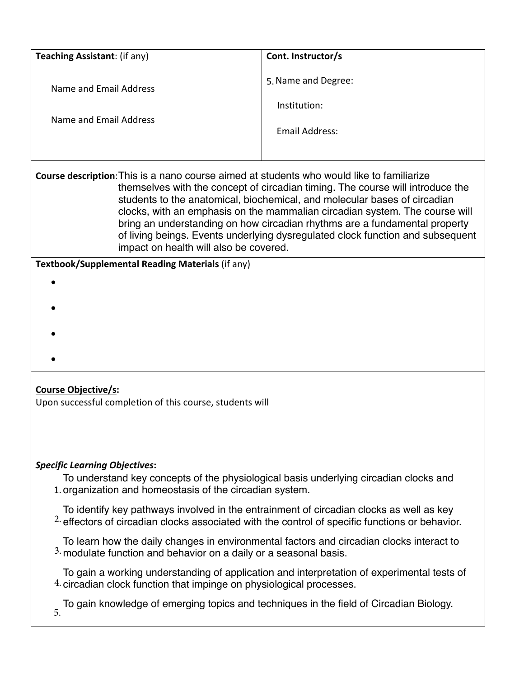| Teaching Assistant: (if any) | Cont. Instructor/s  |
|------------------------------|---------------------|
| Name and Email Address       | 5. Name and Degree: |
|                              | Institution:        |
| Name and Email Address       | Email Address:      |
|                              |                     |

**Course description**: This is a nano course aimed at students who would like to familiarize themselves with the concept of circadian timing. The course will introduce the students to the anatomical, biochemical, and molecular bases of circadian clocks, with an emphasis on the mammalian circadian system. The course will bring an understanding on how circadian rhythms are a fundamental property of living beings. Events underlying dysregulated clock function and subsequent impact on health will also be covered.

**Textbook/Supplemental Reading Materials** (if any)

- •
- 
- 
- 
- •
- •
- 
- •

# **Course Objective/s:**

Upon successful completion of this course, students will

# *Specific Learning Objectives***:**

1. organization and homeostasis of the circadian system. To understand key concepts of the physiological basis underlying circadian clocks and

 $2$  effectors of circadian clocks associated with the control of specific functions or behavior. To identify key pathways involved in the entrainment of circadian clocks as well as key

 $3.$  modulate function and behavior on a daily or a seasonal basis. To learn how the daily changes in environmental factors and circadian clocks interact to

 $4$  circadian clock function that impinge on physiological processes. To gain a working understanding of application and interpretation of experimental tests of

To gain knowledge of emerging topics and techniques in the field of Circadian Biology.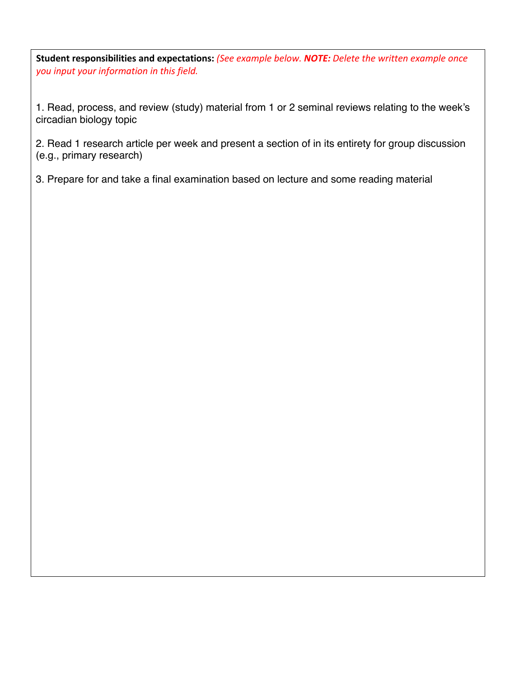**Student responsibilities and expectations:** *(See example below. NOTE: Delete the written example once you input your information in this field.* 

1. Read, process, and review (study) material from 1 or 2 seminal reviews relating to the week's circadian biology topic

2. Read 1 research article per week and present a section of in its entirety for group discussion (e.g., primary research)

3. Prepare for and take a final examination based on lecture and some reading material